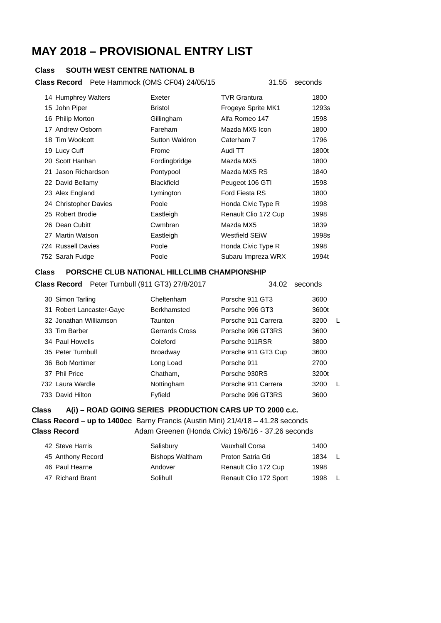# **MAY 2018 – PROVISIONAL ENTRY LIST**

# **Class SOUTH WEST CENTRE NATIONAL B**

### **Class Record** Pete Hammock (OMS CF04) 24/05/15 31.55 seconds

|  | 14 Humphrey Walters   | Exeter            | <b>TVR Grantura</b>  | 1800  |
|--|-----------------------|-------------------|----------------------|-------|
|  | 15 John Piper         | <b>Bristol</b>    | Frogeye Sprite MK1   | 1293s |
|  | 16 Philip Morton      | Gillingham        | Alfa Romeo 147       | 1598  |
|  | 17 Andrew Osborn      | Fareham           | Mazda MX5 Icon       | 1800  |
|  | 18 Tim Woolcott       | Sutton Waldron    | Caterham 7           | 1796  |
|  | 19 Lucy Cuff          | Frome             | Audi TT              | 1800t |
|  | 20 Scott Hanhan       | Fordingbridge     | Mazda MX5            | 1800  |
|  | 21 Jason Richardson   | Pontypool         | Mazda MX5 RS         | 1840  |
|  | 22 David Bellamy      | <b>Blackfield</b> | Peugeot 106 GTI      | 1598  |
|  | 23 Alex England       | Lymington         | Ford Fiesta RS       | 1800  |
|  | 24 Christopher Davies | Poole             | Honda Civic Type R   | 1998  |
|  | 25 Robert Brodie      | Eastleigh         | Renault Clio 172 Cup | 1998  |
|  | 26 Dean Cubitt        | Cwmbran           | Mazda MX5            | 1839  |
|  | 27 Martin Watson      | Eastleigh         | Westfield SEiW       | 1998s |
|  | 724 Russell Davies    | Poole             | Honda Civic Type R   | 1998  |
|  | 752 Sarah Fudge       | Poole             | Subaru Impreza WRX   | 1994t |
|  |                       |                   |                      |       |

### **Class PORSCHE CLUB NATIONAL HILLCLIMB CHAMPIONSHIP**

|  | Class Record Peter Turnbull (911 GT3) 27/8/2017 |  |
|--|-------------------------------------------------|--|
|--|-------------------------------------------------|--|

# **34.02** seconds

| 30 Simon Tarling         | Cheltenham            | Porsche 911 GT3     | 3600  |  |
|--------------------------|-----------------------|---------------------|-------|--|
| 31 Robert Lancaster-Gaye | Berkhamsted           | Porsche 996 GT3     | 3600t |  |
| 32 Jonathan Williamson   | Taunton               | Porsche 911 Carrera | 3200  |  |
| 33 Tim Barber            | <b>Gerrards Cross</b> | Porsche 996 GT3RS   | 3600  |  |
| 34 Paul Howells          | Coleford              | Porsche 911RSR      | 3800  |  |
| 35 Peter Turnbull        | <b>Broadway</b>       | Porsche 911 GT3 Cup | 3600  |  |
| 36 Bob Mortimer          | Long Load             | Porsche 911         | 2700  |  |
| 37 Phil Price            | Chatham,              | Porsche 930RS       | 3200t |  |
| 732 Laura Wardle         | Nottingham            | Porsche 911 Carrera | 3200  |  |
| 733 David Hilton         | Fyfield               | Porsche 996 GT3RS   | 3600  |  |

# **Class A(i) – ROAD GOING SERIES PRODUCTION CARS UP TO 2000 c.c.**

**Class Record – up to 1400cc** Barny Francis (Austin Mini) 21/4/18 – 41.28 seconds **Class Record <br>Adam Greenen (Honda Civic) 19/6/16 - 37.26 seconds** 

| 42 Steve Harris   | Salisbury              | Vauxhall Corsa         | 1400 |                |
|-------------------|------------------------|------------------------|------|----------------|
| 45 Anthony Record | <b>Bishops Waltham</b> | Proton Satria Gti      | 1834 | $\blacksquare$ |
| 46 Paul Hearne    | Andover                | Renault Clio 172 Cup   | 1998 |                |
| 47 Richard Brant  | Solihull               | Renault Clio 172 Sport | 1998 | - L            |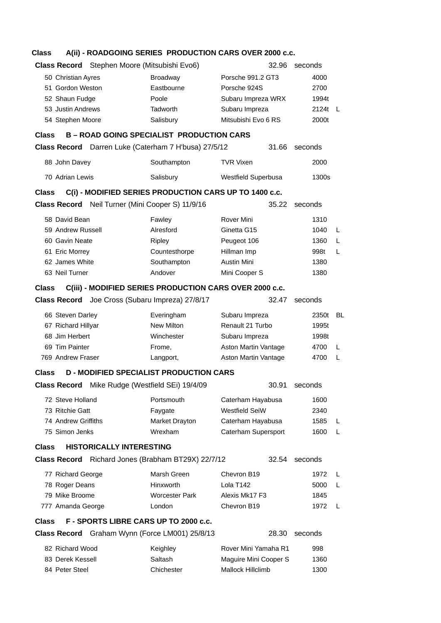# **Class A(ii) - ROADGOING SERIES PRODUCTION CARS OVER 2000 c.c.**

| <b>Class Record</b> Stephen Moore (Mitsubishi Evo6)                                                                    |                                    | 32.96                 | seconds     |
|------------------------------------------------------------------------------------------------------------------------|------------------------------------|-----------------------|-------------|
| 50 Christian Ayres                                                                                                     | <b>Broadway</b>                    | Porsche 991.2 GT3     | 4000        |
| 51 Gordon Weston                                                                                                       | Eastbourne                         | Porsche 924S          | 2700        |
| 52 Shaun Fudge                                                                                                         | Poole                              | Subaru Impreza WRX    | 1994t       |
| 53 Justin Andrews                                                                                                      | Tadworth                           | Subaru Impreza        | 2124t<br>L. |
| 54 Stephen Moore                                                                                                       | Salisbury                          | Mitsubishi Evo 6 RS   | 2000t       |
|                                                                                                                        |                                    |                       |             |
| <b>B-ROAD GOING SPECIALIST PRODUCTION CARS</b><br><b>Class</b><br>Class Record Darren Luke (Caterham 7 H'busa) 27/5/12 |                                    | 31.66                 | seconds     |
|                                                                                                                        |                                    |                       |             |
| 88 John Davey                                                                                                          | Southampton                        | <b>TVR Vixen</b>      | 2000        |
| 70 Adrian Lewis                                                                                                        | Salisbury                          | Westfield Superbusa   | 1300s       |
| C(i) - MODIFIED SERIES PRODUCTION CARS UP TO 1400 c.c.<br><b>Class</b>                                                 |                                    |                       |             |
| Class Record Neil Turner (Mini Cooper S) 11/9/16                                                                       |                                    | 35.22                 | seconds     |
| 58 David Bean                                                                                                          | Fawley                             | Rover Mini            | 1310        |
| 59 Andrew Russell                                                                                                      | Alresford                          | Ginetta G15           | 1040<br>L   |
| 60 Gavin Neate                                                                                                         | Ripley                             | Peugeot 106           | 1360<br>L   |
| 61 Eric Morrey                                                                                                         | Countesthorpe                      | Hillman Imp           | 998t<br>L   |
| 62 James White                                                                                                         | Southampton                        | <b>Austin Mini</b>    | 1380        |
| 63 Neil Turner                                                                                                         | Andover                            | Mini Cooper S         | 1380        |
| C(iii) - MODIFIED SERIES PRODUCTION CARS OVER 2000 c.c.<br><b>Class</b>                                                |                                    |                       |             |
| Class Record Joe Cross (Subaru Impreza) 27/8/17                                                                        |                                    | 32.47                 | seconds     |
| 66 Steven Darley                                                                                                       | Everingham                         | Subaru Impreza        | 2350t<br>BL |
| 67 Richard Hillyar                                                                                                     | New Milton                         | Renault 21 Turbo      | 1995t       |
| 68 Jim Herbert                                                                                                         | Winchester                         | Subaru Impreza        | 1998t       |
| 69 Tim Painter                                                                                                         | Frome,                             | Aston Martin Vantage  | 4700<br>L   |
| 769 Andrew Fraser                                                                                                      | Langport,                          | Aston Martin Vantage  | 4700<br>L   |
| <b>D - MODIFIED SPECIALIST PRODUCTION CARS</b><br><b>Class</b>                                                         |                                    |                       |             |
| <b>Class Record</b>                                                                                                    | Mike Rudge (Westfield SEi) 19/4/09 | 30.91                 | seconds     |
| 72 Steve Holland                                                                                                       | Portsmouth                         | Caterham Hayabusa     | 1600        |
| 73 Ritchie Gatt                                                                                                        | Faygate                            | Westfield SeiW        | 2340        |
| 74 Andrew Griffiths                                                                                                    | Market Drayton                     | Caterham Hayabusa     | 1585<br>L   |
| 75 Simon Jenks                                                                                                         | Wrexham                            | Caterham Supersport   | 1600<br>L.  |
| <b>HISTORICALLY INTERESTING</b><br><b>Class</b>                                                                        |                                    |                       |             |
| <b>Class Record</b> Richard Jones (Brabham BT29X) 22/7/12                                                              |                                    | 32.54                 | seconds     |
| 77 Richard George                                                                                                      | Marsh Green                        | Chevron B19           | 1972<br>L   |
| 78 Roger Deans                                                                                                         | Hinxworth                          | Lola T142             | 5000<br>L   |
| 79 Mike Broome                                                                                                         | <b>Worcester Park</b>              | Alexis Mk17 F3        | 1845        |
| 777 Amanda George                                                                                                      | London                             | Chevron B19           | 1972<br>L   |
| F - SPORTS LIBRE CARS UP TO 2000 c.c.<br><b>Class</b>                                                                  |                                    |                       |             |
| Class Record Graham Wynn (Force LM001) 25/8/13                                                                         |                                    | 28.30                 | seconds     |
| 82 Richard Wood                                                                                                        | Keighley                           | Rover Mini Yamaha R1  | 998         |
| 83 Derek Kessell                                                                                                       | Saltash                            | Maguire Mini Cooper S | 1360        |
| 84 Peter Steel                                                                                                         | Chichester                         | Mallock Hillclimb     | 1300        |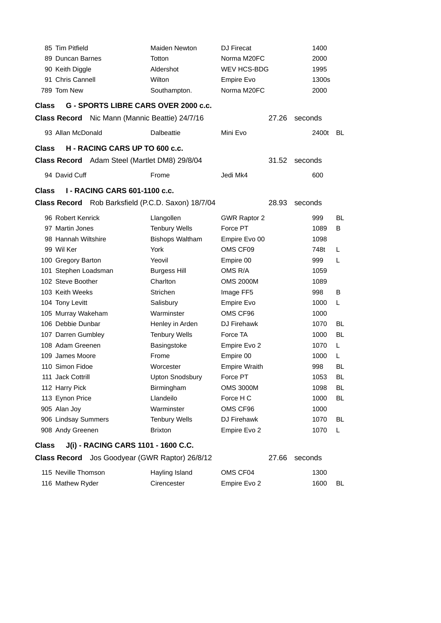|              | 85 Tim Pitfield      |                                                | Maiden Newton                                      | <b>DJ</b> Firecat    |       |         | 1400  |           |
|--------------|----------------------|------------------------------------------------|----------------------------------------------------|----------------------|-------|---------|-------|-----------|
|              | 89 Duncan Barnes     |                                                | Totton                                             | Norma M20FC          |       |         | 2000  |           |
|              | 90 Keith Diggle      |                                                | Aldershot                                          | <b>WEV HCS-BDG</b>   |       |         | 1995  |           |
|              | 91 Chris Cannell     |                                                | Wilton                                             | Empire Evo           |       |         | 1300s |           |
|              | 789 Tom New          |                                                | Southampton.                                       | Norma M20FC          |       |         | 2000  |           |
| <b>Class</b> |                      |                                                | G - SPORTS LIBRE CARS OVER 2000 c.c.               |                      |       |         |       |           |
|              |                      | Class Record Nic Mann (Mannic Beattie) 24/7/16 |                                                    |                      | 27.26 | seconds |       |           |
|              | 93 Allan McDonald    |                                                | <b>Dalbeattie</b>                                  | Mini Evo             |       |         | 2400t | BL        |
| <b>Class</b> |                      | H - RACING CARS UP TO 600 c.c.                 |                                                    |                      |       |         |       |           |
|              |                      | Class Record Adam Steel (Martlet DM8) 29/8/04  |                                                    |                      | 31.52 | seconds |       |           |
|              | 94 David Cuff        |                                                | Frome                                              | Jedi Mk4             |       |         | 600   |           |
| <b>Class</b> |                      | <b>I - RACING CARS 601-1100 c.c.</b>           |                                                    |                      |       |         |       |           |
|              |                      |                                                | Class Record Rob Barksfield (P.C.D. Saxon) 18/7/04 |                      | 28.93 | seconds |       |           |
|              | 96 Robert Kenrick    |                                                | Llangollen                                         | <b>GWR Raptor 2</b>  |       |         | 999   | BL        |
|              | 97 Martin Jones      |                                                | <b>Tenbury Wells</b>                               | Force PT             |       |         | 1089  | B         |
|              | 98 Hannah Wiltshire  |                                                | <b>Bishops Waltham</b>                             | Empire Evo 00        |       |         | 1098  |           |
|              | 99 Wil Ker           |                                                | York                                               | OMS CF09             |       |         | 748t  | L         |
|              | 100 Gregory Barton   |                                                | Yeovil                                             | Empire 00            |       |         | 999   | L         |
|              | 101 Stephen Loadsman |                                                | <b>Burgess Hill</b>                                | OMS R/A              |       |         | 1059  |           |
|              | 102 Steve Boother    |                                                | Charlton                                           | <b>OMS 2000M</b>     |       |         | 1089  |           |
|              | 103 Keith Weeks      |                                                | <b>Strichen</b>                                    | Image FF5            |       |         | 998   | B         |
|              | 104 Tony Levitt      |                                                | Salisbury                                          | Empire Evo           |       |         | 1000  | L         |
|              | 105 Murray Wakeham   |                                                | Warminster                                         | OMS CF96             |       |         | 1000  |           |
|              | 106 Debbie Dunbar    |                                                | Henley in Arden                                    | DJ Firehawk          |       |         | 1070  | <b>BL</b> |
|              | 107 Darren Gumbley   |                                                | <b>Tenbury Wells</b>                               | Force TA             |       |         | 1000  | <b>BL</b> |
|              | 108 Adam Greenen     |                                                | Basingstoke                                        | Empire Evo 2         |       |         | 1070  | L         |
|              | 109 James Moore      |                                                | Frome                                              | Empire 00            |       |         | 1000  | L         |
|              | 110 Simon Fidoe      |                                                | Worcester                                          | <b>Empire Wraith</b> |       |         | 998   | BL        |
|              | 111 Jack Cottrill    |                                                | <b>Upton Snodsbury</b>                             | Force PT             |       |         | 1053  | <b>BL</b> |
|              | 112 Harry Pick       |                                                | Birmingham                                         | <b>OMS 3000M</b>     |       |         | 1098  | BL        |
|              | 113 Eynon Price      |                                                | Llandeilo                                          | Force H C            |       |         | 1000  | BL        |
|              | 905 Alan Joy         |                                                | Warminster                                         | OMS CF96             |       |         | 1000  |           |
|              | 906 Lindsay Summers  |                                                | <b>Tenbury Wells</b>                               | DJ Firehawk          |       |         | 1070  | BL        |
|              | 908 Andy Greenen     |                                                | <b>Brixton</b>                                     | Empire Evo 2         |       |         | 1070  | L.        |
| <b>Class</b> |                      | J(i) - RACING CARS 1101 - 1600 C.C.            |                                                    |                      |       |         |       |           |
|              | <b>Class Record</b>  |                                                | Jos Goodyear (GWR Raptor) 26/8/12                  |                      | 27.66 | seconds |       |           |
|              |                      |                                                |                                                    |                      |       |         |       |           |

| 115 Neville Thomson | Hayling Island | OMS CF04     | 1300 |    |
|---------------------|----------------|--------------|------|----|
| 116 Mathew Ryder    | Cirencester    | Empire Evo 2 | 1600 | BL |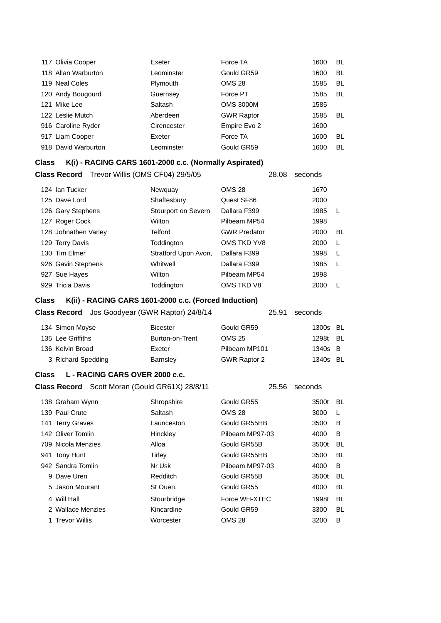| 117 Olivia Cooper   | Exeter      | Force TA          | 1600 | BL. |
|---------------------|-------------|-------------------|------|-----|
| 118 Allan Warburton | Leominster  | Gould GR59        | 1600 | BL  |
| 119 Neal Coles      | Plymouth    | <b>OMS 28</b>     | 1585 | BL  |
| 120 Andy Bougourd   | Guernsey    | Force PT          | 1585 | BL  |
| 121 Mike Lee        | Saltash     | <b>OMS 3000M</b>  | 1585 |     |
| 122 Leslie Mutch    | Aberdeen    | <b>GWR Raptor</b> | 1585 | BL  |
| 916 Caroline Ryder  | Cirencester | Empire Evo 2      | 1600 |     |
| 917 Liam Cooper     | Exeter      | Force TA          | 1600 | BL  |
| 918 David Warburton | Leominster  | Gould GR59        | 1600 | BL  |

### **Class K(i) - RACING CARS 1601-2000 c.c. (Normally Aspirated)**

**Class Record** Trevor Willis (OMS CF04) 29/5/05 28.08 seconds

| 124 Ian Tucker    |                      | Newquay              | <b>OMS 28</b>       | 1670 |    |
|-------------------|----------------------|----------------------|---------------------|------|----|
| 125 Dave Lord     |                      | Shaftesbury          | Quest SF86          | 2000 |    |
| 126 Gary Stephens |                      | Stourport on Severn  | Dallara F399        | 1985 |    |
| 127 Roger Cock    |                      | Wilton               | Pilbeam MP54        | 1998 |    |
|                   | 128 Johnathen Varley | Telford              | <b>GWR Predator</b> | 2000 | BL |
| 129 Terry Davis   |                      | Toddington           | OMS TKD YV8         | 2000 | L  |
| 130 Tim Elmer     |                      | Stratford Upon Avon, | Dallara F399        | 1998 |    |
|                   | 926 Gavin Stephens   | Whitwell             | Dallara F399        | 1985 | L  |
| 927 Sue Hayes     |                      | Wilton               | Pilbeam MP54        | 1998 |    |
| 929 Tricia Davis  |                      | Toddington           | OMS TKD V8          | 2000 |    |

**Class K(ii) - RACING CARS 1601-2000 c.c. (Forced Induction)**

| <b>Class Record</b> Jos Goodyear (GWR Raptor) 24/8/14 | 25.91 seconds |
|-------------------------------------------------------|---------------|
|                                                       |               |

| 134 Simon Moyse    | <b>Bicester</b> | Gould GR59          | 1300s BL |  |
|--------------------|-----------------|---------------------|----------|--|
| 135 Lee Griffiths  | Burton-on-Trent | OMS 25              | 1298t BL |  |
| 136 Kelvin Broad   | Exeter          | Pilbeam MP101       | 1340s B  |  |
| 3 Richard Spedding | <b>Barnsley</b> | <b>GWR Raptor 2</b> | 1340s BL |  |
|                    |                 |                     |          |  |

## **Class L - RACING CARS OVER 2000 c.c.**

**Class Record** Scott Moran (Gould GR61X) 28/8/11 25.56 seconds

| 138 Graham Wynn    | Shropshire  | Gould GR55      | 3500t | BL. |
|--------------------|-------------|-----------------|-------|-----|
| 139 Paul Crute     | Saltash     | <b>OMS 28</b>   | 3000  | L   |
| 141 Terry Graves   | Launceston  | Gould GR55HB    | 3500  | B   |
| 142 Oliver Tomlin  | Hinckley    | Pilbeam MP97-03 | 4000  | B   |
| 709 Nicola Menzies | Alloa       | Gould GR55B     | 3500t | BL  |
| 941 Tony Hunt      | Tirley      | Gould GR55HB    | 3500  | BL  |
| 942 Sandra Tomlin  | Nr Usk      | Pilbeam MP97-03 | 4000  | B   |
| 9 Dave Uren        | Redditch    | Gould GR55B     | 3500t | BL  |
| 5 Jason Mourant    | St Ouen,    | Gould GR55      | 4000  | BL  |
| 4 Will Hall        | Stourbridge | Force WH-XTEC   | 1998t | BL  |
| 2 Wallace Menzies  | Kincardine  | Gould GR59      | 3300  | BL  |
| 1 Trevor Willis    | Worcester   | <b>OMS 28</b>   | 3200  | B   |